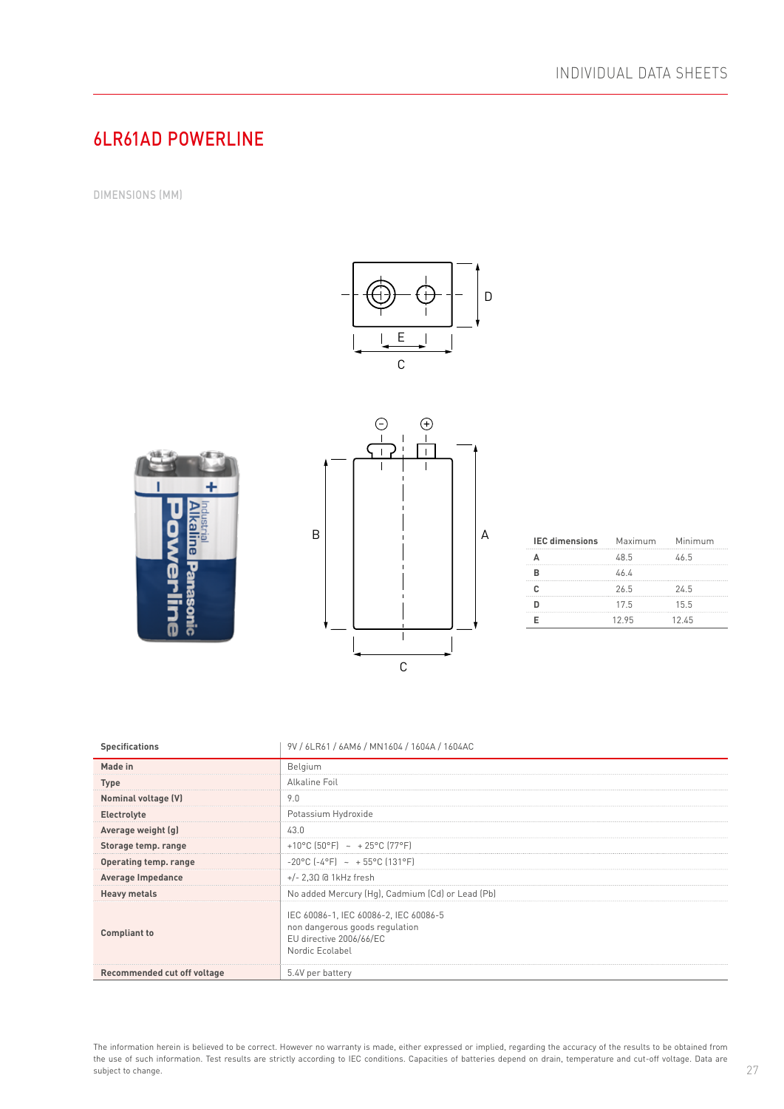## 6LR61AD POWERLINE

DIMENSIONS (MM)







| <b>IEC dimensions</b> | Maximum Minimum |       |
|-----------------------|-----------------|-------|
|                       | 48.5            | 46.5  |
|                       | 46 4            |       |
|                       | 26.5            | 24.5  |
|                       | 175             | 15.5  |
|                       | 1295            | 12 45 |

| <b>Specifications</b>       | 9V / 6LR61 / 6AM6 / MN1604 / 1604A / 1604AC                                                                           |
|-----------------------------|-----------------------------------------------------------------------------------------------------------------------|
| Made in                     | Belgium                                                                                                               |
| <b>Type</b>                 | <b>Alkaline Foil</b>                                                                                                  |
| Nominal voltage (V)         | 9.0                                                                                                                   |
| Electrolyte                 | Potassium Hydroxide                                                                                                   |
| Average weight (g)          | 43.0                                                                                                                  |
| Storage temp. range         | +10°C (50°F) ~ +25°C (77°F)                                                                                           |
| Operating temp. range       | $-20^{\circ}$ C $(-4^{\circ}F)$ ~ + 55°C (131°F)                                                                      |
| <b>Average Impedance</b>    | $+/- 2.3\Omega$ @ 1kHz fresh                                                                                          |
| <b>Heavy metals</b>         | No added Mercury (Hg), Cadmium (Cd) or Lead (Pb)                                                                      |
| <b>Compliant to</b>         | IEC 60086-1, IEC 60086-2, IEC 60086-5<br>non dangerous goods regulation<br>EU directive 2006/66/EC<br>Nordic Ecolabel |
| Recommended cut off voltage | 5.4V per battery                                                                                                      |

The information herein is believed to be correct. However no warranty is made, either expressed or implied, regarding the accuracy of the results to be obtained from the use of such information. Test results are strictly according to IEC conditions. Capacities of batteries depend on drain, temperature and cut-off voltage. Data are subject to change.